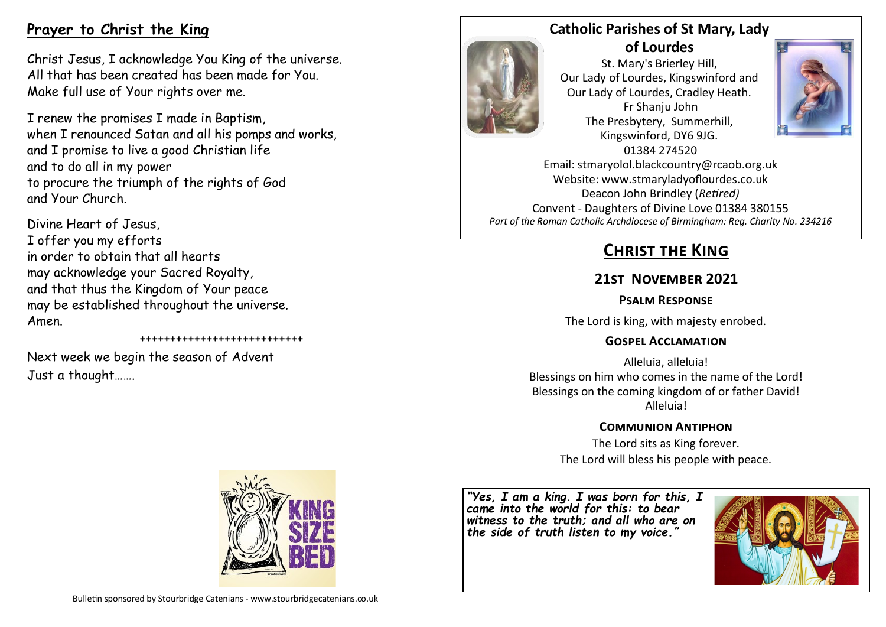# **Prayer to Christ the King**

Christ Jesus, I acknowledge You King of the universe. All that has been created has been made for You. Make full use of Your rights over me.

I renew the promises I made in Baptism, when I renounced Satan and all his pomps and works, and I promise to live a good Christian life and to do all in my power to procure the triumph of the rights of God and Your Church.

Divine Heart of Jesus, I offer you my efforts in order to obtain that all hearts may acknowledge your Sacred Royalty, and that thus the Kingdom of Your peace may be established throughout the universe. Amen.

+++++++++++++++++++++++++++

Next week we begin the season of Advent Just a thought…….



St. Mary's Brierley Hill, Our Lady of Lourdes, Kingswinford and Our Lady of Lourdes, Cradley Heath. Fr Shanju John The Presbytery, Summerhill, Kingswinford, DY6 9JG.



01384 274520 Email: stmaryolol.blackcountry@rcaob.org.uk Website: www.stmaryladyoflourdes.co.uk Deacon John Brindley (*Retired)* Convent - Daughters of Divine Love 01384 380155 *Part of the Roman Catholic Archdiocese of Birmingham: Reg. Charity No. 234216*

# **Christ the King**

# **21st November 2021**

#### **Psalm Response**

The Lord is king, with majesty enrobed.

### **Gospel Acclamation**

Alleluia, alleluia! Blessings on him who comes in the name of the Lord! Blessings on the coming kingdom of or father David! Alleluia!

### **Communion Antiphon**

The Lord sits as King forever. The Lord will bless his people with peace.

*"Yes, I am a king. I was born for this, I came into the world for this: to bear witness to the truth; and all who are on the side of truth listen to my voice."*